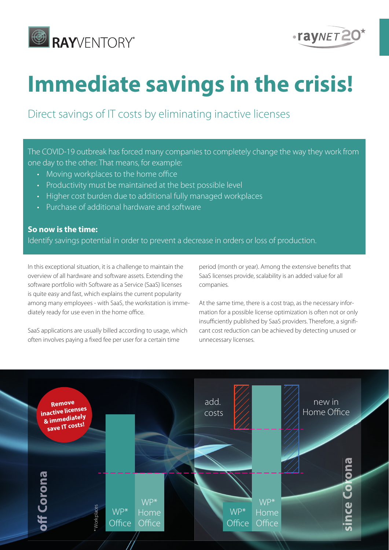



# **Immediate savings in the crisis!**

Direct savings of IT costs by eliminating inactive licenses

The COVID-19 outbreak has forced many companies to completely change the way they work from one day to the other. That means, for example:

- Moving workplaces to the home office
- Productivity must be maintained at the best possible level
- Higher cost burden due to additional fully managed workplaces
- Purchase of additional hardware and software

#### **So now is the time:**

Identify savings potential in order to prevent a decrease in orders or loss of production.

In this exceptional situation, it is a challenge to maintain the overview of all hardware and software assets. Extending the software portfolio with Software as a Service (SaaS) licenses is quite easy and fast, which explains the current popularity among many employees - with SaaS, the workstation is immediately ready for use even in the home office.

SaaS applications are usually billed according to usage, which often involves paying a fixed fee per user for a certain time

period (month or year). Among the extensive benefits that SaaS licenses provide, scalability is an added value for all companies.

At the same time, there is a cost trap, as the necessary information for a possible license optimization is often not or only insufficiently published by SaaS providers. Therefore, a significant cost reduction can be achieved by detecting unused or unnecessary licenses.